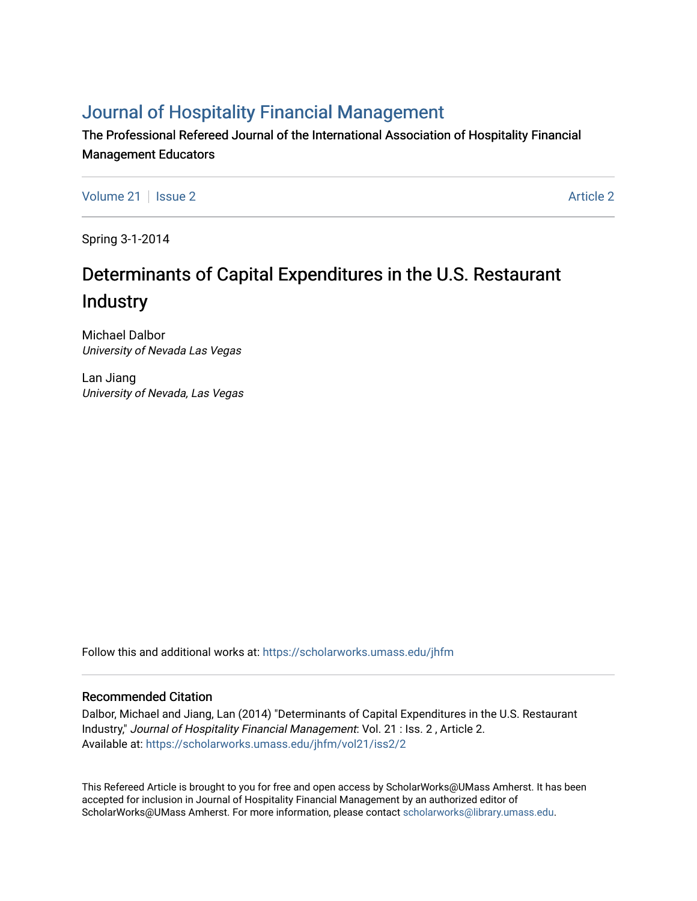## [Journal of Hospitality Financial Management](https://scholarworks.umass.edu/jhfm)

The Professional Refereed Journal of the International Association of Hospitality Financial Management Educators

[Volume 21](https://scholarworks.umass.edu/jhfm/vol21) | [Issue 2](https://scholarworks.umass.edu/jhfm/vol21/iss2) [Article 2](https://scholarworks.umass.edu/jhfm/vol21/iss2/2) Article 2 Article 2 Article 2 Article 2 Article 2 Article 2 Article 2 Article 2

Spring 3-1-2014

# Determinants of Capital Expenditures in the U.S. Restaurant Industry

Michael Dalbor University of Nevada Las Vegas

Lan Jiang University of Nevada, Las Vegas

Follow this and additional works at: [https://scholarworks.umass.edu/jhfm](https://scholarworks.umass.edu/jhfm?utm_source=scholarworks.umass.edu%2Fjhfm%2Fvol21%2Fiss2%2F2&utm_medium=PDF&utm_campaign=PDFCoverPages) 

#### Recommended Citation

Dalbor, Michael and Jiang, Lan (2014) "Determinants of Capital Expenditures in the U.S. Restaurant Industry," Journal of Hospitality Financial Management: Vol. 21 : Iss. 2 , Article 2. Available at: [https://scholarworks.umass.edu/jhfm/vol21/iss2/2](https://scholarworks.umass.edu/jhfm/vol21/iss2/2?utm_source=scholarworks.umass.edu%2Fjhfm%2Fvol21%2Fiss2%2F2&utm_medium=PDF&utm_campaign=PDFCoverPages) 

This Refereed Article is brought to you for free and open access by ScholarWorks@UMass Amherst. It has been accepted for inclusion in Journal of Hospitality Financial Management by an authorized editor of ScholarWorks@UMass Amherst. For more information, please contact [scholarworks@library.umass.edu.](mailto:scholarworks@library.umass.edu)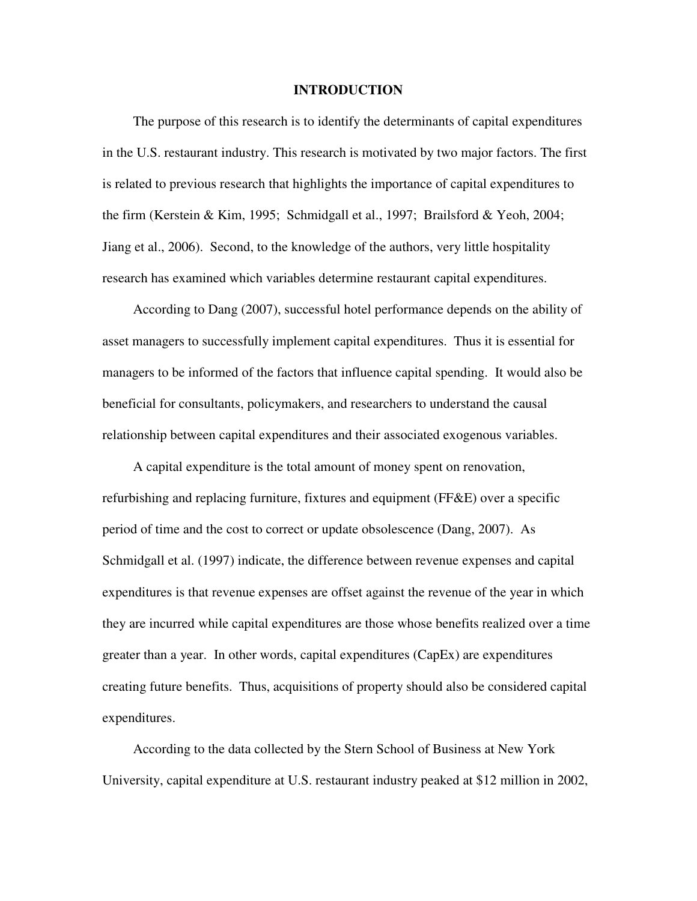#### **INTRODUCTION**

The purpose of this research is to identify the determinants of capital expenditures in the U.S. restaurant industry. This research is motivated by two major factors. The first is related to previous research that highlights the importance of capital expenditures to the firm (Kerstein & Kim, 1995; Schmidgall et al., 1997; Brailsford & Yeoh, 2004; Jiang et al., 2006). Second, to the knowledge of the authors, very little hospitality research has examined which variables determine restaurant capital expenditures.

According to Dang (2007), successful hotel performance depends on the ability of asset managers to successfully implement capital expenditures. Thus it is essential for managers to be informed of the factors that influence capital spending. It would also be beneficial for consultants, policymakers, and researchers to understand the causal relationship between capital expenditures and their associated exogenous variables.

A capital expenditure is the total amount of money spent on renovation, refurbishing and replacing furniture, fixtures and equipment (FF&E) over a specific period of time and the cost to correct or update obsolescence (Dang, 2007). As Schmidgall et al. (1997) indicate, the difference between revenue expenses and capital expenditures is that revenue expenses are offset against the revenue of the year in which they are incurred while capital expenditures are those whose benefits realized over a time greater than a year. In other words, capital expenditures (CapEx) are expenditures creating future benefits. Thus, acquisitions of property should also be considered capital expenditures.

According to the data collected by the Stern School of Business at New York University, capital expenditure at U.S. restaurant industry peaked at \$12 million in 2002,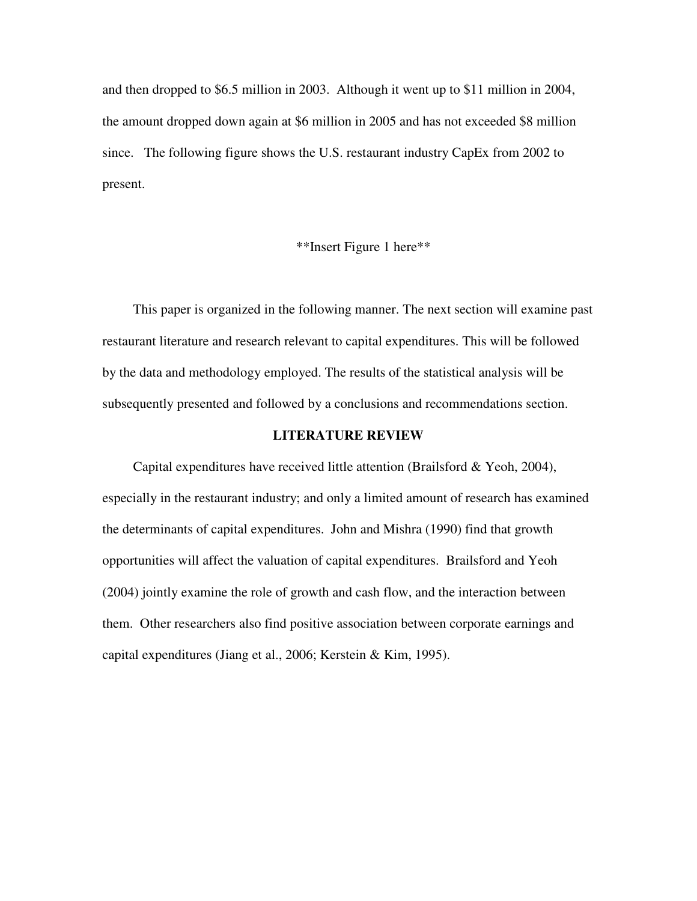and then dropped to \$6.5 million in 2003. Although it went up to \$11 million in 2004, the amount dropped down again at \$6 million in 2005 and has not exceeded \$8 million since. The following figure shows the U.S. restaurant industry CapEx from 2002 to present.

### \*\*Insert Figure 1 here\*\*

This paper is organized in the following manner. The next section will examine past restaurant literature and research relevant to capital expenditures. This will be followed by the data and methodology employed. The results of the statistical analysis will be subsequently presented and followed by a conclusions and recommendations section.

#### **LITERATURE REVIEW**

Capital expenditures have received little attention (Brailsford & Yeoh, 2004), especially in the restaurant industry; and only a limited amount of research has examined the determinants of capital expenditures. John and Mishra (1990) find that growth opportunities will affect the valuation of capital expenditures. Brailsford and Yeoh (2004) jointly examine the role of growth and cash flow, and the interaction between them. Other researchers also find positive association between corporate earnings and capital expenditures (Jiang et al., 2006; Kerstein & Kim, 1995).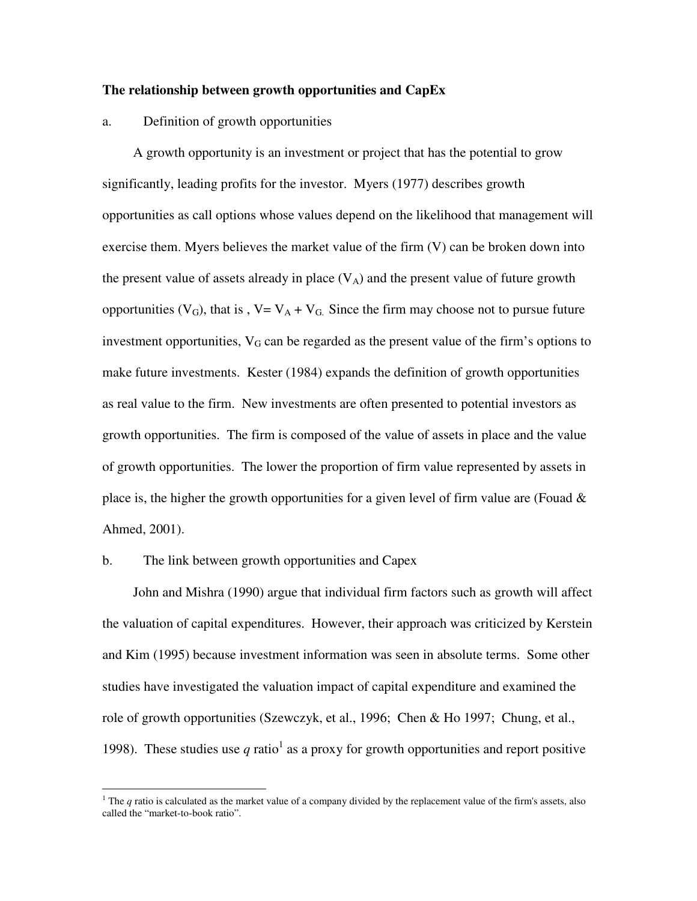#### **The relationship between growth opportunities and CapEx**

#### a. Definition of growth opportunities

A growth opportunity is an investment or project that has the potential to grow significantly, leading profits for the investor. Myers (1977) describes growth opportunities as call options whose values depend on the likelihood that management will exercise them. Myers believes the market value of the firm (V) can be broken down into the present value of assets already in place  $(V_A)$  and the present value of future growth opportunities ( $V_G$ ), that is,  $V = V_A + V_G$ . Since the firm may choose not to pursue future investment opportunities,  $V_G$  can be regarded as the present value of the firm's options to make future investments. Kester (1984) expands the definition of growth opportunities as real value to the firm. New investments are often presented to potential investors as growth opportunities. The firm is composed of the value of assets in place and the value of growth opportunities. The lower the proportion of firm value represented by assets in place is, the higher the growth opportunities for a given level of firm value are (Fouad  $\&$ Ahmed, 2001).

#### b. The link between growth opportunities and Capex

 $\overline{a}$ 

John and Mishra (1990) argue that individual firm factors such as growth will affect the valuation of capital expenditures. However, their approach was criticized by Kerstein and Kim (1995) because investment information was seen in absolute terms. Some other studies have investigated the valuation impact of capital expenditure and examined the role of growth opportunities (Szewczyk, et al., 1996; Chen & Ho 1997; Chung, et al., 1998). These studies use  $q$  ratio<sup>1</sup> as a proxy for growth opportunities and report positive

<sup>&</sup>lt;sup>1</sup> The  $q$  ratio is calculated as the market value of a company divided by the replacement value of the firm's assets, also called the "market-to-book ratio".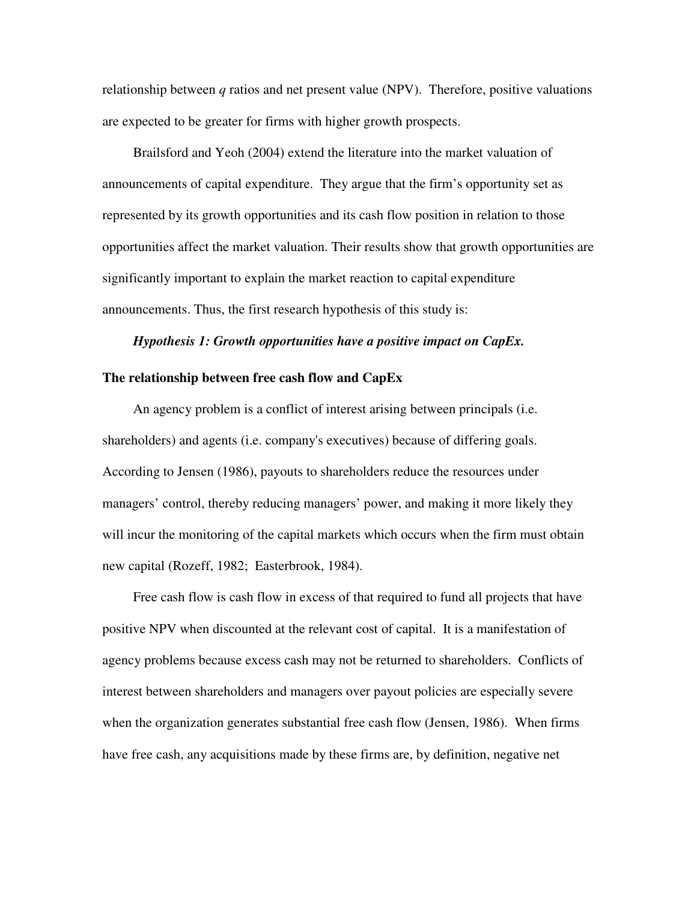relationship between *q* ratios and net present value (NPV). Therefore, positive valuations are expected to be greater for firms with higher growth prospects.

Brailsford and Yeoh (2004) extend the literature into the market valuation of announcements of capital expenditure. They argue that the firm's opportunity set as represented by its growth opportunities and its cash flow position in relation to those opportunities affect the market valuation. Their results show that growth opportunities are significantly important to explain the market reaction to capital expenditure announcements. Thus, the first research hypothesis of this study is:

#### *Hypothesis 1: Growth opportunities have a positive impact on CapEx.*

#### **The relationship between free cash flow and CapEx**

An agency problem is a conflict of interest arising between principals (i.e. shareholders) and agents (i.e. company's executives) because of differing goals. According to Jensen (1986), payouts to shareholders reduce the resources under managers' control, thereby reducing managers' power, and making it more likely they will incur the monitoring of the capital markets which occurs when the firm must obtain new capital (Rozeff, 1982; Easterbrook, 1984).

Free cash flow is cash flow in excess of that required to fund all projects that have positive NPV when discounted at the relevant cost of capital. It is a manifestation of agency problems because excess cash may not be returned to shareholders. Conflicts of interest between shareholders and managers over payout policies are especially severe when the organization generates substantial free cash flow (Jensen, 1986). When firms have free cash, any acquisitions made by these firms are, by definition, negative net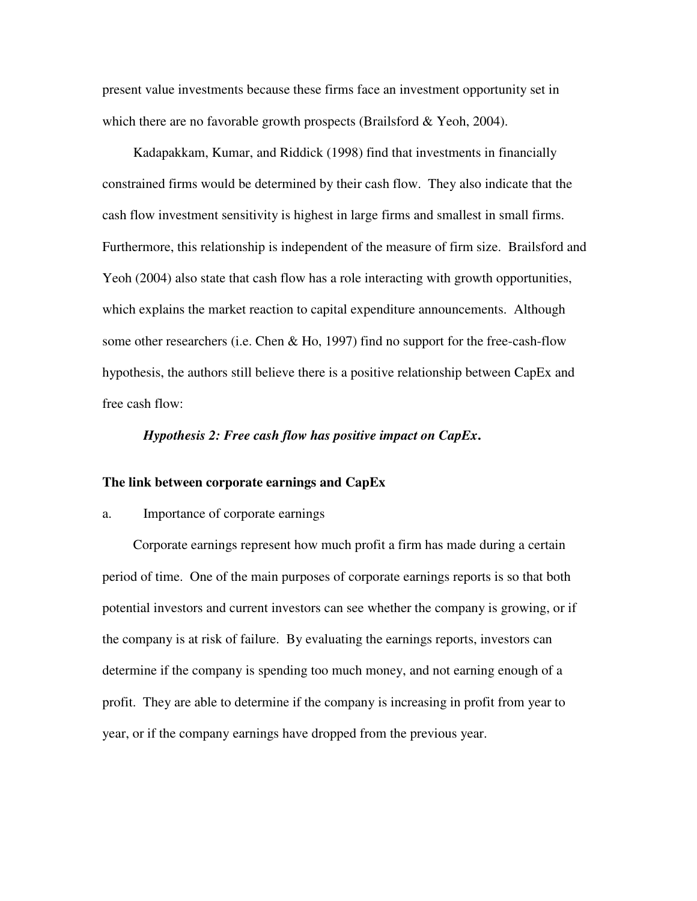present value investments because these firms face an investment opportunity set in which there are no favorable growth prospects (Brailsford & Yeoh, 2004).

Kadapakkam, Kumar, and Riddick (1998) find that investments in financially constrained firms would be determined by their cash flow. They also indicate that the cash flow investment sensitivity is highest in large firms and smallest in small firms. Furthermore, this relationship is independent of the measure of firm size. Brailsford and Yeoh (2004) also state that cash flow has a role interacting with growth opportunities, which explains the market reaction to capital expenditure announcements. Although some other researchers (i.e. Chen & Ho, 1997) find no support for the free-cash-flow hypothesis, the authors still believe there is a positive relationship between CapEx and free cash flow:

#### *Hypothesis 2: Free cash flow has positive impact on CapEx***.**

#### **The link between corporate earnings and CapEx**

#### a. Importance of corporate earnings

Corporate earnings represent how much profit a firm has made during a certain period of time. One of the main purposes of corporate earnings reports is so that both potential investors and current investors can see whether the company is growing, or if the company is at risk of failure. By evaluating the earnings reports, investors can determine if the company is spending too much money, and not earning enough of a profit. They are able to determine if the company is increasing in profit from year to year, or if the company earnings have dropped from the previous year.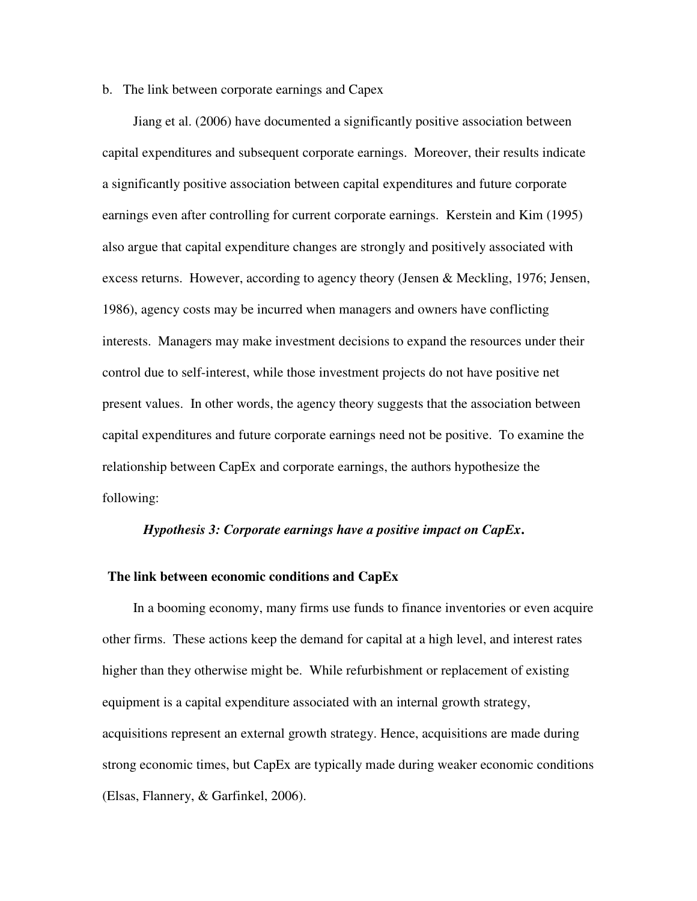#### b. The link between corporate earnings and Capex

Jiang et al. (2006) have documented a significantly positive association between capital expenditures and subsequent corporate earnings. Moreover, their results indicate a significantly positive association between capital expenditures and future corporate earnings even after controlling for current corporate earnings. Kerstein and Kim (1995) also argue that capital expenditure changes are strongly and positively associated with excess returns. However, according to agency theory (Jensen & Meckling, 1976; Jensen, 1986), agency costs may be incurred when managers and owners have conflicting interests. Managers may make investment decisions to expand the resources under their control due to self-interest, while those investment projects do not have positive net present values. In other words, the agency theory suggests that the association between capital expenditures and future corporate earnings need not be positive. To examine the relationship between CapEx and corporate earnings, the authors hypothesize the following:

#### *Hypothesis 3: Corporate earnings have a positive impact on CapEx***.**

#### **The link between economic conditions and CapEx**

In a booming economy, many firms use funds to finance inventories or even acquire other firms. These actions keep the demand for capital at a high level, and interest rates higher than they otherwise might be. While refurbishment or replacement of existing equipment is a capital expenditure associated with an internal growth strategy, acquisitions represent an external growth strategy. Hence, acquisitions are made during strong economic times, but CapEx are typically made during weaker economic conditions (Elsas, Flannery, & Garfinkel, 2006).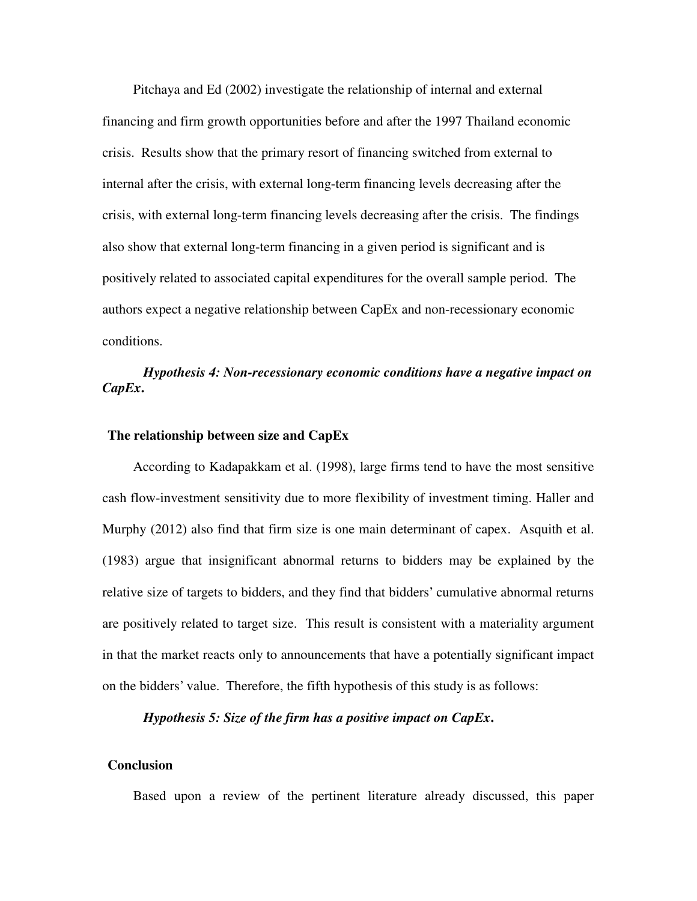Pitchaya and Ed (2002) investigate the relationship of internal and external financing and firm growth opportunities before and after the 1997 Thailand economic crisis. Results show that the primary resort of financing switched from external to internal after the crisis, with external long-term financing levels decreasing after the crisis, with external long-term financing levels decreasing after the crisis. The findings also show that external long-term financing in a given period is significant and is positively related to associated capital expenditures for the overall sample period. The authors expect a negative relationship between CapEx and non-recessionary economic conditions.

## *Hypothesis 4: Non-recessionary economic conditions have a negative impact on CapEx***.**

#### **The relationship between size and CapEx**

According to Kadapakkam et al. (1998), large firms tend to have the most sensitive cash flow-investment sensitivity due to more flexibility of investment timing. Haller and Murphy (2012) also find that firm size is one main determinant of capex. Asquith et al. (1983) argue that insignificant abnormal returns to bidders may be explained by the relative size of targets to bidders, and they find that bidders' cumulative abnormal returns are positively related to target size. This result is consistent with a materiality argument in that the market reacts only to announcements that have a potentially significant impact on the bidders' value. Therefore, the fifth hypothesis of this study is as follows:

*Hypothesis 5: Size of the firm has a positive impact on CapEx***.** 

#### **Conclusion**

Based upon a review of the pertinent literature already discussed, this paper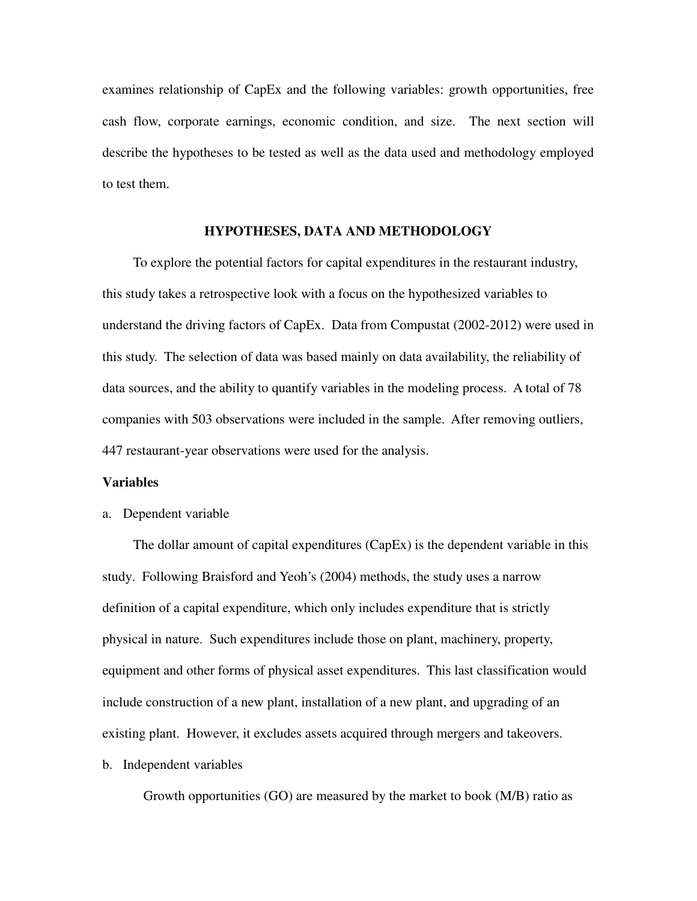examines relationship of CapEx and the following variables: growth opportunities, free cash flow, corporate earnings, economic condition, and size. The next section will describe the hypotheses to be tested as well as the data used and methodology employed to test them.

#### **HYPOTHESES, DATA AND METHODOLOGY**

To explore the potential factors for capital expenditures in the restaurant industry, this study takes a retrospective look with a focus on the hypothesized variables to understand the driving factors of CapEx. Data from Compustat (2002-2012) were used in this study. The selection of data was based mainly on data availability, the reliability of data sources, and the ability to quantify variables in the modeling process. A total of 78 companies with 503 observations were included in the sample. After removing outliers, 447 restaurant-year observations were used for the analysis.

#### **Variables**

a. Dependent variable

The dollar amount of capital expenditures (CapEx) is the dependent variable in this study. Following Braisford and Yeoh's (2004) methods, the study uses a narrow definition of a capital expenditure, which only includes expenditure that is strictly physical in nature. Such expenditures include those on plant, machinery, property, equipment and other forms of physical asset expenditures. This last classification would include construction of a new plant, installation of a new plant, and upgrading of an existing plant. However, it excludes assets acquired through mergers and takeovers.

#### b. Independent variables

Growth opportunities (GO) are measured by the market to book (M/B) ratio as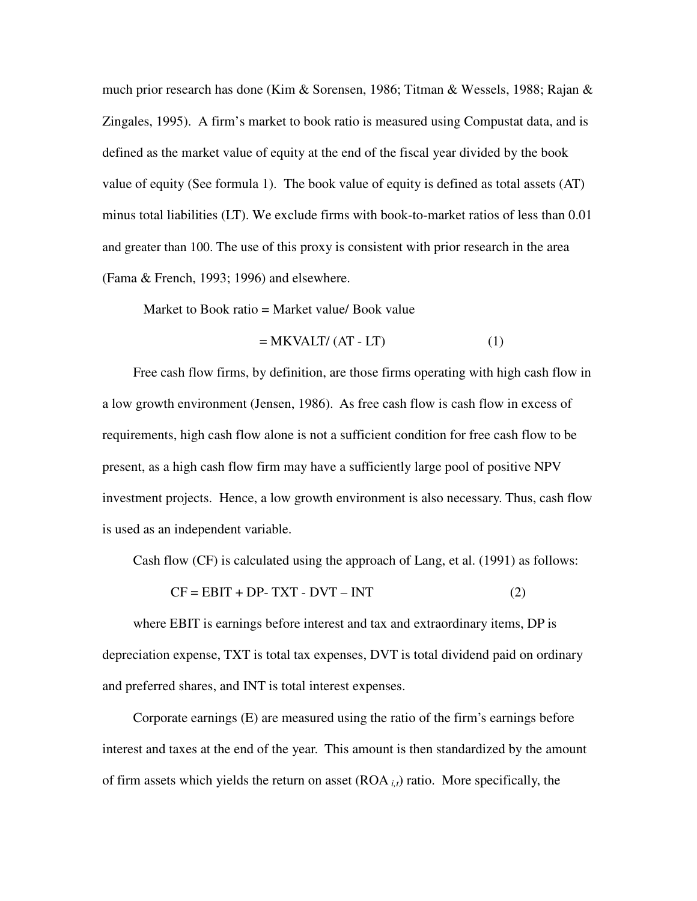much prior research has done (Kim & Sorensen, 1986; Titman & Wessels, 1988; Rajan & Zingales, 1995). A firm's market to book ratio is measured using Compustat data, and is defined as the market value of equity at the end of the fiscal year divided by the book value of equity (See formula 1). The book value of equity is defined as total assets (AT) minus total liabilities (LT). We exclude firms with book-to-market ratios of less than 0.01 and greater than 100. The use of this proxy is consistent with prior research in the area (Fama & French, 1993; 1996) and elsewhere.

Market to Book ratio = Market value/ Book value

$$
= MKVALT/(AT-LT)
$$
 (1)

Free cash flow firms, by definition, are those firms operating with high cash flow in a low growth environment (Jensen, 1986). As free cash flow is cash flow in excess of requirements, high cash flow alone is not a sufficient condition for free cash flow to be present, as a high cash flow firm may have a sufficiently large pool of positive NPV investment projects. Hence, a low growth environment is also necessary. Thus, cash flow is used as an independent variable.

Cash flow (CF) is calculated using the approach of Lang, et al. (1991) as follows:

$$
CF = EBIT + DP - TXT - DVT - INT
$$
 (2)

where EBIT is earnings before interest and tax and extraordinary items, DP is depreciation expense, TXT is total tax expenses, DVT is total dividend paid on ordinary and preferred shares, and INT is total interest expenses.

Corporate earnings (E) are measured using the ratio of the firm's earnings before interest and taxes at the end of the year. This amount is then standardized by the amount of firm assets which yields the return on asset  $(ROA_{i,t})$  ratio. More specifically, the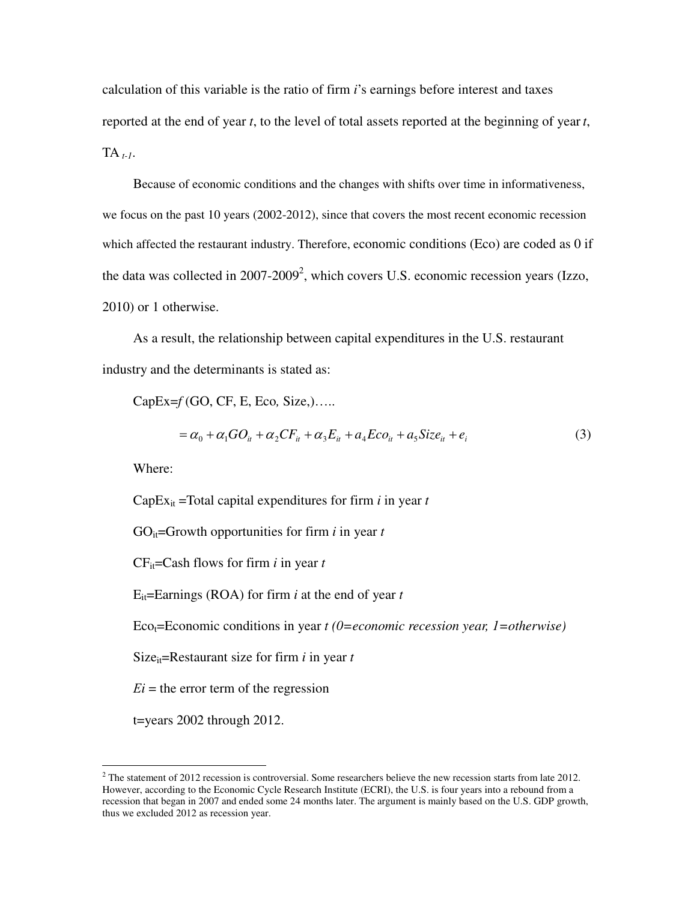calculation of this variable is the ratio of firm *i*'s earnings before interest and taxes reported at the end of year *t*, to the level of total assets reported at the beginning of year *t*, TA *t-1*.

Because of economic conditions and the changes with shifts over time in informativeness, we focus on the past 10 years (2002-2012), since that covers the most recent economic recession which affected the restaurant industry. Therefore, economic conditions (Eco) are coded as 0 if the data was collected in  $2007-2009^2$ , which covers U.S. economic recession years (Izzo, 2010) or 1 otherwise.

As a result, the relationship between capital expenditures in the U.S. restaurant industry and the determinants is stated as:

CapEx=*f* (GO, CF, E, Eco*,* Size,)…..

$$
= \alpha_0 + \alpha_1 GO_{it} + \alpha_2 CF_{it} + \alpha_3 E_{it} + a_4 E_{co_{it}} + a_5 Size_{it} + e_i
$$
\n(3)

Where:

CapE $x_{it}$  =Total capital expenditures for firm *i* in year *t* 

GO $_{it}$ =Growth opportunities for firm *i* in year *t* 

CFit=Cash flows for firm *i* in year *t*

Eit=Earnings (ROA) for firm *i* at the end of year *t*

Eco<sub>t</sub>=Economic conditions in year *t* (0=economic recession year, 1=otherwise)

Size<sub>it</sub>=Restaurant size for firm  $i$  in year  $t$ 

 $E_i$  = the error term of the regression

t=years 2002 through 2012.

<sup>&</sup>lt;sup>2</sup> The statement of 2012 recession is controversial. Some researchers believe the new recession starts from late 2012. However, according to the Economic Cycle Research Institute (ECRI), the U.S. is four years into a rebound from a recession that began in 2007 and ended some 24 months later. The argument is mainly based on the U.S. GDP growth, thus we excluded 2012 as recession year.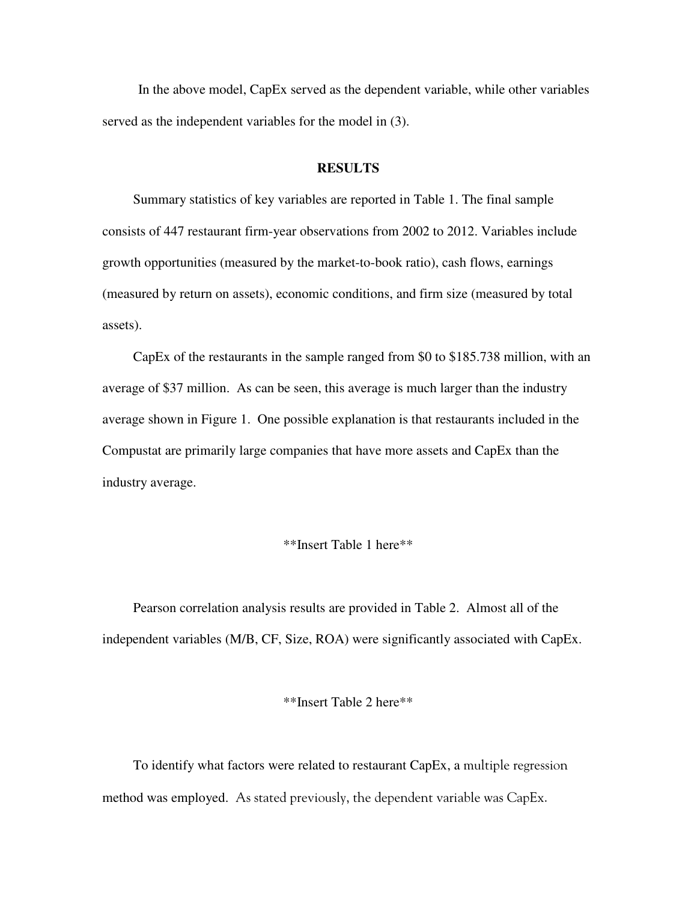In the above model, CapEx served as the dependent variable, while other variables served as the independent variables for the model in (3).

#### **RESULTS**

Summary statistics of key variables are reported in Table 1. The final sample consists of 447 restaurant firm-year observations from 2002 to 2012. Variables include growth opportunities (measured by the market-to-book ratio), cash flows, earnings (measured by return on assets), economic conditions, and firm size (measured by total assets).

CapEx of the restaurants in the sample ranged from \$0 to \$185.738 million, with an average of \$37 million. As can be seen, this average is much larger than the industry average shown in Figure 1. One possible explanation is that restaurants included in the Compustat are primarily large companies that have more assets and CapEx than the industry average.

#### \*\*Insert Table 1 here\*\*

Pearson correlation analysis results are provided in Table 2. Almost all of the independent variables (M/B, CF, Size, ROA) were significantly associated with CapEx.

#### \*\*Insert Table 2 here\*\*

To identify what factors were related to restaurant CapEx, a multiple regression method was employed. As stated previously, the dependent variable was CapEx.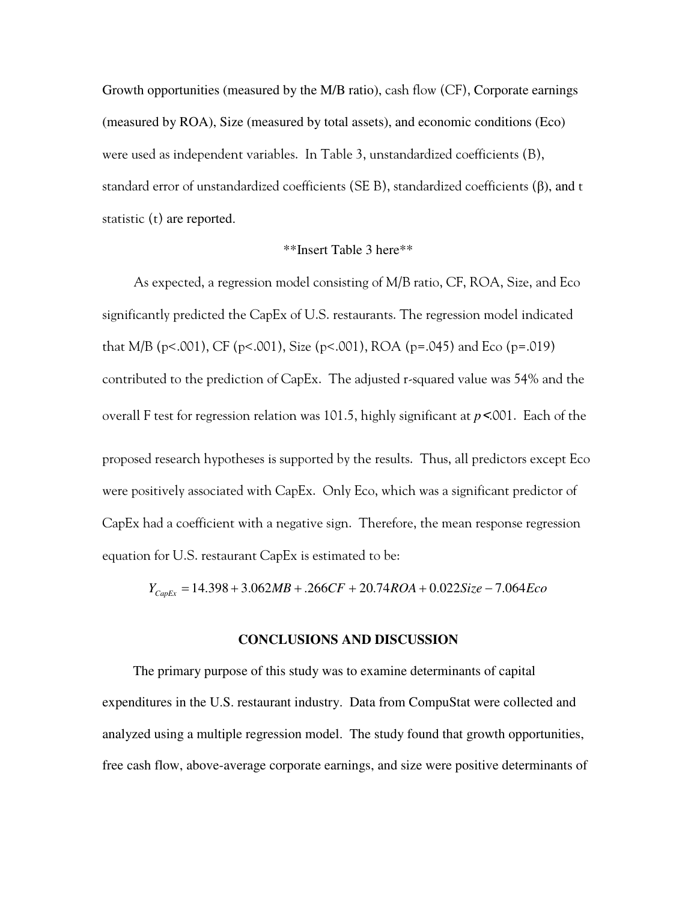Growth opportunities (measured by the M/B ratio), cash flow (CF), Corporate earnings (measured by ROA), Size (measured by total assets), and economic conditions (Eco) were used as independent variables. In Table 3, unstandardized coefficients (B), standard error of unstandardized coefficients (SE B), standardized coefficients (β), and t statistic (t) are reported.

#### \*\*Insert Table 3 here\*\*

As expected, a regression model consisting of M/B ratio, CF, ROA, Size, and Eco significantly predicted the CapEx of U.S. restaurants. The regression model indicated that M/B (p<.001), CF (p<.001), Size (p<.001), ROA (p=.045) and Eco (p=.019) contributed to the prediction of CapEx. The adjusted r-squared value was 54% and the overall F test for regression relation was 101.5, highly significant at *p*<.001. Each of the proposed research hypotheses is supported by the results. Thus, all predictors except Eco were positively associated with CapEx. Only Eco, which was a significant predictor of CapEx had a coefficient with a negative sign. Therefore, the mean response regression equation for U.S. restaurant CapEx is estimated to be:

 $Y_{C<sub>cmFx</sub>} = 14.398 + 3.062MB + .266CF + 20.74ROA + 0.022Size - 7.064Eco$ 

#### **CONCLUSIONS AND DISCUSSION**

The primary purpose of this study was to examine determinants of capital expenditures in the U.S. restaurant industry. Data from CompuStat were collected and analyzed using a multiple regression model. The study found that growth opportunities, free cash flow, above-average corporate earnings, and size were positive determinants of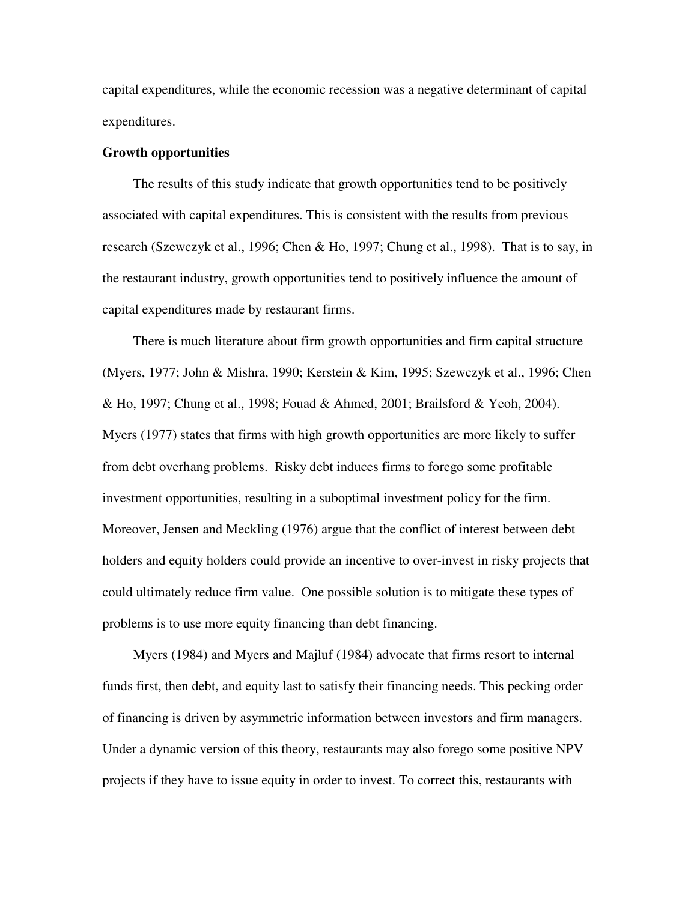capital expenditures, while the economic recession was a negative determinant of capital expenditures.

#### **Growth opportunities**

The results of this study indicate that growth opportunities tend to be positively associated with capital expenditures. This is consistent with the results from previous research (Szewczyk et al., 1996; Chen & Ho, 1997; Chung et al., 1998). That is to say, in the restaurant industry, growth opportunities tend to positively influence the amount of capital expenditures made by restaurant firms.

There is much literature about firm growth opportunities and firm capital structure (Myers, 1977; John & Mishra, 1990; Kerstein & Kim, 1995; Szewczyk et al., 1996; Chen & Ho, 1997; Chung et al., 1998; Fouad & Ahmed, 2001; Brailsford & Yeoh, 2004). Myers (1977) states that firms with high growth opportunities are more likely to suffer from debt overhang problems. Risky debt induces firms to forego some profitable investment opportunities, resulting in a suboptimal investment policy for the firm. Moreover, Jensen and Meckling (1976) argue that the conflict of interest between debt holders and equity holders could provide an incentive to over-invest in risky projects that could ultimately reduce firm value. One possible solution is to mitigate these types of problems is to use more equity financing than debt financing.

Myers (1984) and Myers and Majluf (1984) advocate that firms resort to internal funds first, then debt, and equity last to satisfy their financing needs. This pecking order of financing is driven by asymmetric information between investors and firm managers. Under a dynamic version of this theory, restaurants may also forego some positive NPV projects if they have to issue equity in order to invest. To correct this, restaurants with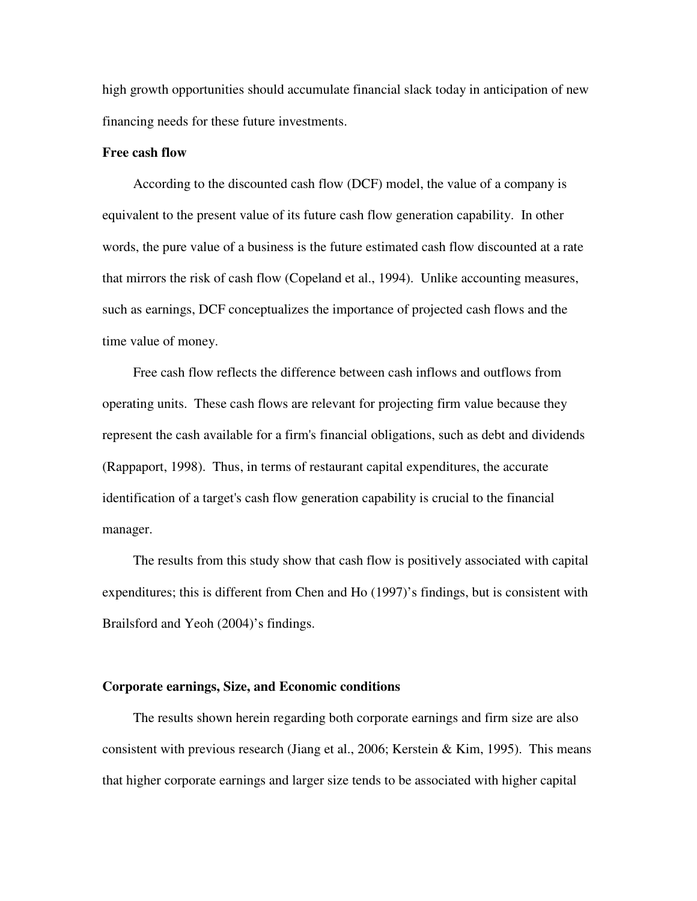high growth opportunities should accumulate financial slack today in anticipation of new financing needs for these future investments.

#### **Free cash flow**

According to the discounted cash flow (DCF) model, the value of a company is equivalent to the present value of its future cash flow generation capability. In other words, the pure value of a business is the future estimated cash flow discounted at a rate that mirrors the risk of cash flow (Copeland et al., 1994). Unlike accounting measures, such as earnings, DCF conceptualizes the importance of projected cash flows and the time value of money.

Free cash flow reflects the difference between cash inflows and outflows from operating units. These cash flows are relevant for projecting firm value because they represent the cash available for a firm's financial obligations, such as debt and dividends (Rappaport, 1998). Thus, in terms of restaurant capital expenditures, the accurate identification of a target's cash flow generation capability is crucial to the financial manager.

The results from this study show that cash flow is positively associated with capital expenditures; this is different from Chen and Ho (1997)'s findings, but is consistent with Brailsford and Yeoh (2004)'s findings.

#### **Corporate earnings, Size, and Economic conditions**

The results shown herein regarding both corporate earnings and firm size are also consistent with previous research (Jiang et al., 2006; Kerstein & Kim, 1995). This means that higher corporate earnings and larger size tends to be associated with higher capital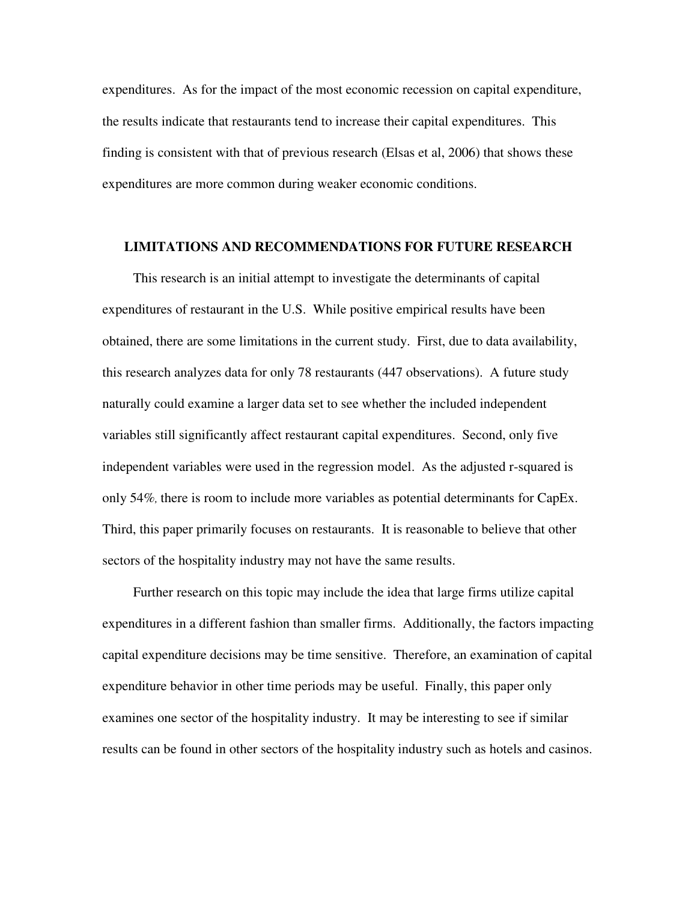expenditures. As for the impact of the most economic recession on capital expenditure, the results indicate that restaurants tend to increase their capital expenditures. This finding is consistent with that of previous research (Elsas et al, 2006) that shows these expenditures are more common during weaker economic conditions.

#### **LIMITATIONS AND RECOMMENDATIONS FOR FUTURE RESEARCH**

This research is an initial attempt to investigate the determinants of capital expenditures of restaurant in the U.S. While positive empirical results have been obtained, there are some limitations in the current study. First, due to data availability, this research analyzes data for only 78 restaurants (447 observations). A future study naturally could examine a larger data set to see whether the included independent variables still significantly affect restaurant capital expenditures. Second, only five independent variables were used in the regression model. As the adjusted r-squared is only 54%*,* there is room to include more variables as potential determinants for CapEx. Third, this paper primarily focuses on restaurants. It is reasonable to believe that other sectors of the hospitality industry may not have the same results.

Further research on this topic may include the idea that large firms utilize capital expenditures in a different fashion than smaller firms. Additionally, the factors impacting capital expenditure decisions may be time sensitive. Therefore, an examination of capital expenditure behavior in other time periods may be useful. Finally, this paper only examines one sector of the hospitality industry. It may be interesting to see if similar results can be found in other sectors of the hospitality industry such as hotels and casinos.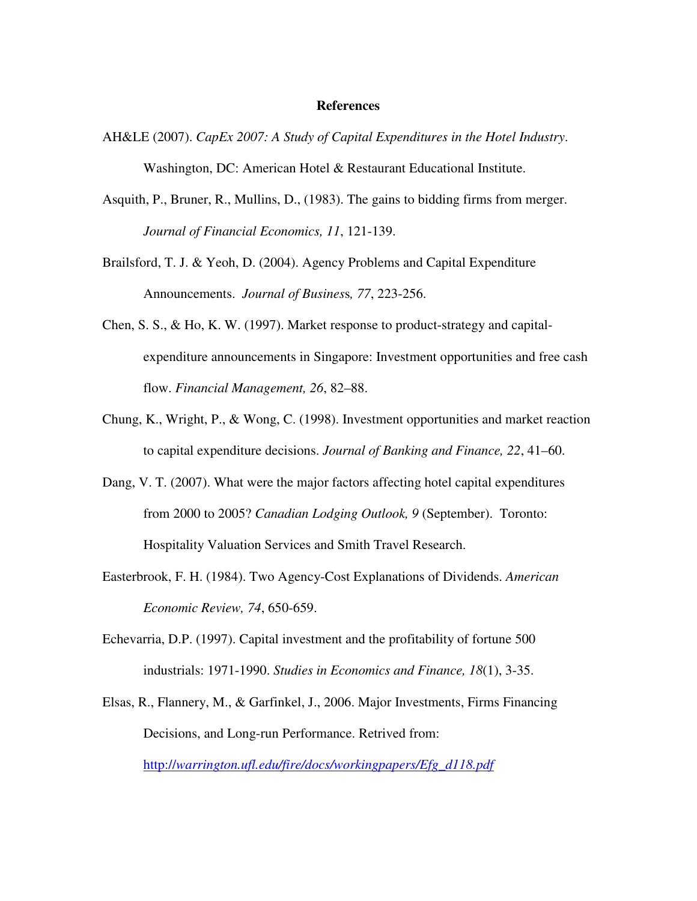#### **References**

- AH&LE (2007). *CapEx 2007: A Study of Capital Expenditures in the Hotel Industry*. Washington, DC: American Hotel & Restaurant Educational Institute.
- Asquith, P., Bruner, R., Mullins, D., (1983). The gains to bidding firms from merger. *Journal of Financial Economics, 11*, 121-139.
- Brailsford, T. J. & Yeoh, D. (2004). Agency Problems and Capital Expenditure Announcements. *Journal of Busines*s*, 77*, 223-256.
- Chen, S. S., & Ho, K. W. (1997). Market response to product-strategy and capitalexpenditure announcements in Singapore: Investment opportunities and free cash flow. *Financial Management, 26*, 82–88.
- Chung, K., Wright, P., & Wong, C. (1998). Investment opportunities and market reaction to capital expenditure decisions. *Journal of Banking and Finance, 22*, 41–60.
- Dang, V. T. (2007). What were the major factors affecting hotel capital expenditures from 2000 to 2005? *Canadian Lodging Outlook, 9* (September). Toronto: Hospitality Valuation Services and Smith Travel Research.
- Easterbrook, F. H. (1984). Two Agency-Cost Explanations of Dividends. *American Economic Review, 74*, 650-659.
- Echevarria, D.P. (1997). Capital investment and the profitability of fortune 500 industrials: 1971-1990. *Studies in Economics and Finance, 18*(1), 3-35.
- Elsas, R., Flannery, M., & Garfinkel, J., 2006. Major Investments, Firms Financing Decisions, and Long-run Performance. Retrived from: http://*warrington.ufl.edu/fire/docs/workingpapers/Efg\_d118.pdf*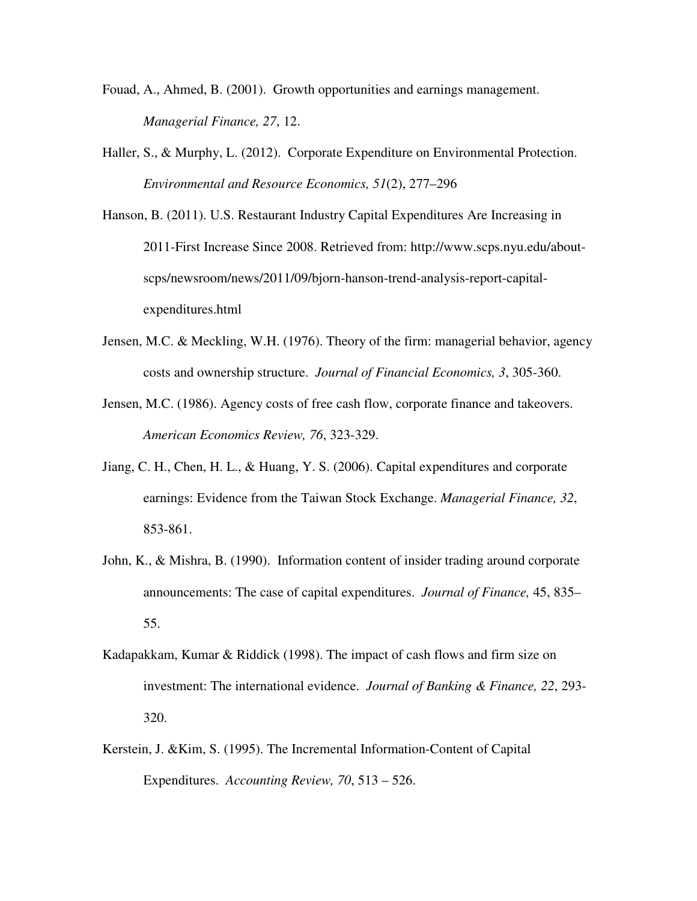- Fouad, A., Ahmed, B. (2001). Growth opportunities and earnings management. *Managerial Finance, 27*, 12.
- Haller, S., & Murphy, L. (2012). Corporate Expenditure on Environmental Protection. *Environmental and Resource Economics, 51*(2), 277–296

Hanson, B. (2011). U.S. Restaurant Industry Capital Expenditures Are Increasing in 2011-First Increase Since 2008. Retrieved from: http://www.scps.nyu.edu/aboutscps/newsroom/news/2011/09/bjorn-hanson-trend-analysis-report-capitalexpenditures.html

- Jensen, M.C. & Meckling, W.H. (1976). Theory of the firm: managerial behavior, agency costs and ownership structure. *Journal of Financial Economics, 3*, 305-360.
- Jensen, M.C. (1986). Agency costs of free cash flow, corporate finance and takeovers. *American Economics Review, 76*, 323-329.
- Jiang, C. H., Chen, H. L., & Huang, Y. S. (2006). Capital expenditures and corporate earnings: Evidence from the Taiwan Stock Exchange. *Managerial Finance, 32*, 853-861.
- John, K., & Mishra, B. (1990). Information content of insider trading around corporate announcements: The case of capital expenditures. *Journal of Finance,* 45, 835– 55.
- Kadapakkam, Kumar & Riddick (1998). The impact of cash flows and firm size on investment: The international evidence. *Journal of Banking & Finance, 22*, 293- 320.
- Kerstein, J. &Kim, S. (1995). The Incremental Information-Content of Capital Expenditures. *Accounting Review, 70*, 513 – 526.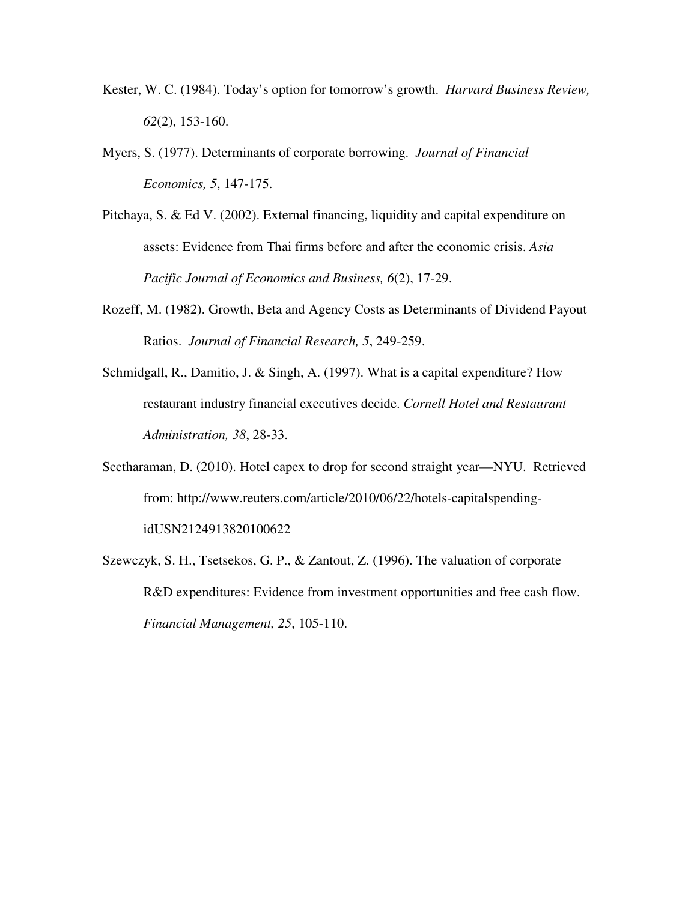- Kester, W. C. (1984). Today's option for tomorrow's growth. *Harvard Business Review, 62*(2), 153-160.
- Myers, S. (1977). Determinants of corporate borrowing. *Journal of Financial Economics, 5*, 147-175.
- Pitchaya, S. & Ed V. (2002). External financing, liquidity and capital expenditure on assets: Evidence from Thai firms before and after the economic crisis. *Asia Pacific Journal of Economics and Business, 6*(2), 17-29.
- Rozeff, M. (1982). Growth, Beta and Agency Costs as Determinants of Dividend Payout Ratios. *Journal of Financial Research, 5*, 249-259.
- Schmidgall, R., Damitio, J. & Singh, A. (1997). What is a capital expenditure? How restaurant industry financial executives decide. *Cornell Hotel and Restaurant Administration, 38*, 28-33.
- Seetharaman, D. (2010). Hotel capex to drop for second straight year—NYU. Retrieved from: http://www.reuters.com/article/2010/06/22/hotels-capitalspendingidUSN2124913820100622
- Szewczyk, S. H., Tsetsekos, G. P., & Zantout, Z. (1996). The valuation of corporate R&D expenditures: Evidence from investment opportunities and free cash flow. *Financial Management, 25*, 105-110.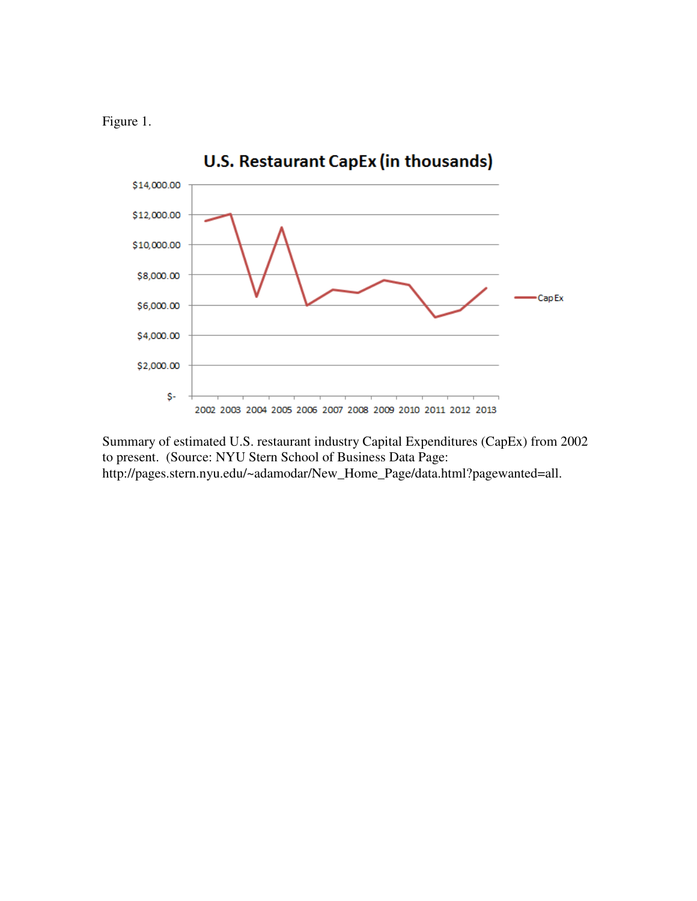Figure 1.



Summary of estimated U.S. restaurant industry Capital Expenditures (CapEx) from 2002 to present. (Source: NYU Stern School of Business Data Page: http://pages.stern.nyu.edu/~adamodar/New\_Home\_Page/data.html?pagewanted=all.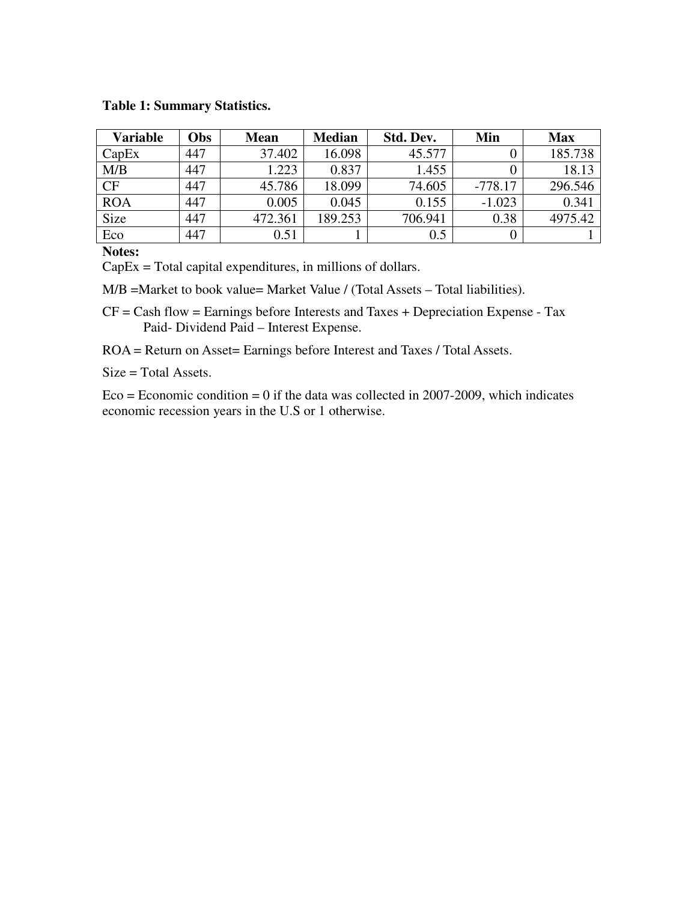#### **Table 1: Summary Statistics.**

| <b>Variable</b> | Obs | <b>Mean</b> | <b>Median</b> | Std. Dev. | Min       | <b>Max</b> |
|-----------------|-----|-------------|---------------|-----------|-----------|------------|
| CapEx           | 447 | 37.402      | 16.098        | 45.577    |           | 185.738    |
| M/B             | 447 | 1.223       | 0.837         | 1.455     |           | 18.13      |
| <b>CF</b>       | 447 | 45.786      | 18.099        | 74.605    | $-778.17$ | 296.546    |
| <b>ROA</b>      | 447 | 0.005       | 0.045         | 0.155     | $-1.023$  | 0.341      |
| Size            | 447 | 472.361     | 189.253       | 706.941   | 0.38      | 4975.42    |
| Eco             | 447 | 0.51        |               | 0.5       |           |            |

**Notes:** 

CapEx = Total capital expenditures, in millions of dollars.

M/B =Market to book value= Market Value / (Total Assets – Total liabilities).

 $CF = Cash flow = Earnings before Interests and Taxes + Depreciation Experience - Tax$ Paid- Dividend Paid – Interest Expense.

ROA = Return on Asset= Earnings before Interest and Taxes / Total Assets.

Size = Total Assets.

 $Eco = Economic condition = 0$  if the data was collected in 2007-2009, which indicates economic recession years in the U.S or 1 otherwise.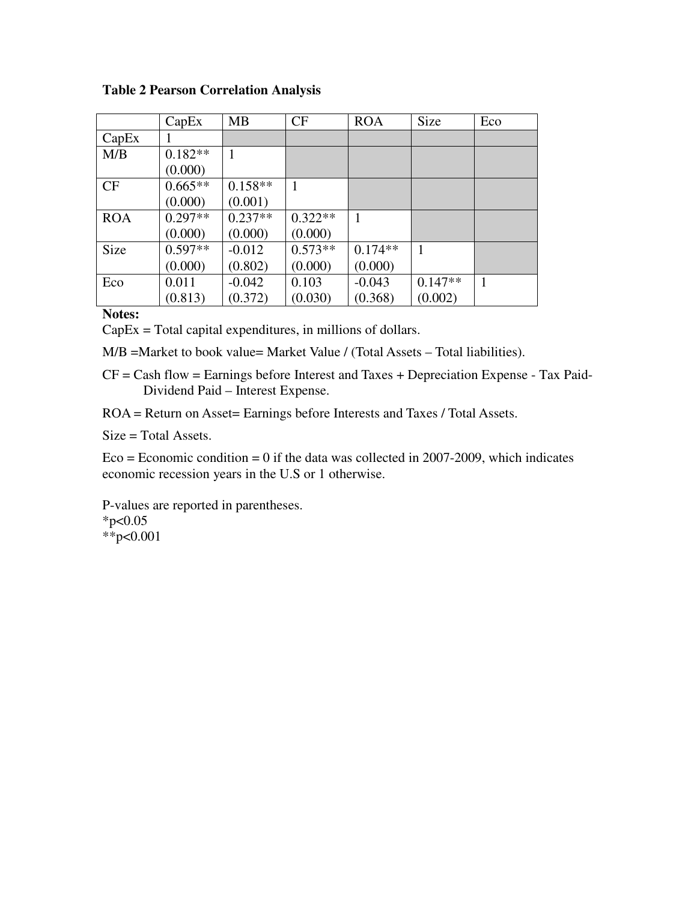**Table 2 Pearson Correlation Analysis** 

|            | CapEx     | <b>MB</b> | <b>CF</b> | <b>ROA</b> | Size      | Eco |
|------------|-----------|-----------|-----------|------------|-----------|-----|
| CapEx      |           |           |           |            |           |     |
| M/B        | $0.182**$ |           |           |            |           |     |
|            | (0.000)   |           |           |            |           |     |
| CF         | $0.665**$ | $0.158**$ | 1         |            |           |     |
|            | (0.000)   | (0.001)   |           |            |           |     |
| <b>ROA</b> | $0.297**$ | $0.237**$ | $0.322**$ |            |           |     |
|            | (0.000)   | (0.000)   | (0.000)   |            |           |     |
| Size       | $0.597**$ | $-0.012$  | $0.573**$ | $0.174**$  |           |     |
|            | (0.000)   | (0.802)   | (0.000)   | (0.000)    |           |     |
| Eco        | 0.011     | $-0.042$  | 0.103     | $-0.043$   | $0.147**$ |     |
|            | (0.813)   | (0.372)   | (0.030)   | (0.368)    | (0.002)   |     |

## **Notes:**

CapEx = Total capital expenditures, in millions of dollars.

M/B =Market to book value= Market Value / (Total Assets – Total liabilities).

CF = Cash flow = Earnings before Interest and Taxes + Depreciation Expense - Tax Paid-Dividend Paid – Interest Expense.

ROA = Return on Asset= Earnings before Interests and Taxes / Total Assets.

Size = Total Assets.

 $Eco = Economic condition = 0$  if the data was collected in 2007-2009, which indicates economic recession years in the U.S or 1 otherwise.

P-values are reported in parentheses.  $*p<0.05$ \*\*p<0.001